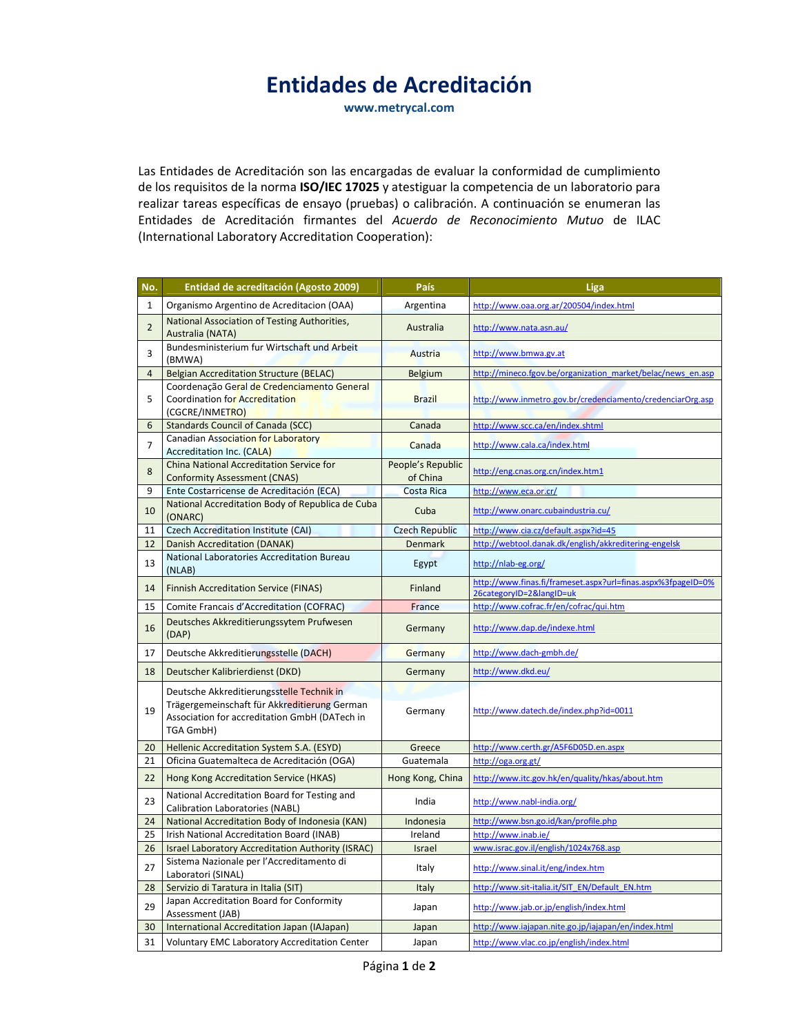## Entidades de Acreditación

www.metrycal.com

Las Entidades de Acreditación son las encargadas de evaluar la conformidad de cumplimiento de los requisitos de la norma ISO/IEC 17025 y atestiguar la competencia de un laboratorio para realizar tareas específicas de ensayo (pruebas) o calibración. A continuación se enumeran las Entidades de Acreditación firmantes del Acuerdo de Reconocimiento Mutuo de ILAC (International Laboratory Accreditation Cooperation):

| No.            | Entidad de acreditación (Agosto 2009)                                                                                                                          | País                          | Liga                                                                                     |
|----------------|----------------------------------------------------------------------------------------------------------------------------------------------------------------|-------------------------------|------------------------------------------------------------------------------------------|
| $\mathbf{1}$   | Organismo Argentino de Acreditacion (OAA)                                                                                                                      | Argentina                     | http://www.oaa.org.ar/200504/index.html                                                  |
| $\overline{2}$ | National Association of Testing Authorities,<br>Australia (NATA)                                                                                               | Australia                     | http://www.nata.asn.au/                                                                  |
| 3              | Bundesministerium fur Wirtschaft und Arbeit<br>(BMWA)                                                                                                          | Austria                       | http://www.bmwa.gv.at                                                                    |
| $\overline{4}$ | <b>Belgian Accreditation Structure (BELAC)</b>                                                                                                                 | Belgium                       | http://mineco.fgov.be/organization market/belac/news en.asp                              |
| 5              | Coordenação Geral de Credenciamento General<br>Coordination for Accreditation<br>(CGCRE/INMETRO)                                                               | <b>Brazil</b>                 | http://www.inmetro.gov.br/credenciamento/credenciarOrg.asp                               |
| 6              | <b>Standards Council of Canada (SCC)</b>                                                                                                                       | Canada                        | http://www.scc.ca/en/index.shtml                                                         |
| $\overline{7}$ | Canadian Association for Laboratory<br><b>Accreditation Inc. (CALA)</b>                                                                                        | Canada                        | http://www.cala.ca/index.html                                                            |
| 8              | China National Accreditation Service for<br><b>Conformity Assessment (CNAS)</b>                                                                                | People's Republic<br>of China | http://eng.cnas.org.cn/index.htm1                                                        |
| 9              | Ente Costarricense de Acreditación (ECA)                                                                                                                       | Costa Rica                    | http://www.eca.or.cr/                                                                    |
| 10             | National Accreditation Body of Republica de Cuba<br>(ONARC)                                                                                                    | Cuba                          | http://www.onarc.cubaindustria.cu/                                                       |
| 11             | <b>Czech Accreditation Institute (CAI)</b>                                                                                                                     | <b>Czech Republic</b>         | http://www.cia.cz/default.aspx?id=45                                                     |
| 12             | Danish Accreditation (DANAK)                                                                                                                                   | <b>Denmark</b>                | http://webtool.danak.dk/english/akkreditering-engelsk                                    |
| 13             | National Laboratories Accreditation Bureau<br>(NLAB)                                                                                                           | Egypt                         | http://nlab-eg.org/                                                                      |
| 14             | <b>Finnish Accreditation Service (FINAS)</b>                                                                                                                   | Finland                       | http://www.finas.fi/frameset.aspx?url=finas.aspx%3fpageID=0%<br>26categoryID=2&langID=uk |
| 15             | <b>Comite Francais d'Accreditation (COFRAC)</b>                                                                                                                | France                        | http://www.cofrac.fr/en/cofrac/qui.htm                                                   |
| 16             | Deutsches Akkreditierungssytem Prufwesen<br>(DAP)                                                                                                              | Germany                       | http://www.dap.de/indexe.html                                                            |
| 17             | Deutsche Akkreditierungsstelle (DACH)                                                                                                                          | Germany                       | http://www.dach-gmbh.de/                                                                 |
| 18             | Deutscher Kalibrierdienst (DKD)                                                                                                                                | Germany                       | http://www.dkd.eu/                                                                       |
| 19             | Deutsche Akkreditierungsstelle Technik in<br>Trägergemeinschaft für Akkreditierung German<br>Association for accreditation GmbH (DATech in<br><b>TGA GmbH)</b> | Germany                       | http://www.datech.de/index.php?id=0011                                                   |
| 20             | Hellenic Accreditation System S.A. (ESYD)                                                                                                                      | Greece                        | http://www.certh.gr/A5F6D05D.en.aspx                                                     |
| 21             | Oficina Guatemalteca de Acreditación (OGA)                                                                                                                     | Guatemala                     | http://oga.org.gt/                                                                       |
| 22             | Hong Kong Accreditation Service (HKAS)                                                                                                                         | Hong Kong, China              | http://www.itc.gov.hk/en/quality/hkas/about.htm                                          |
| 23             | National Accreditation Board for Testing and<br>Calibration Laboratories (NABL)                                                                                | India                         | http://www.nabl-india.org/                                                               |
| 24             | National Accreditation Body of Indonesia (KAN)                                                                                                                 | Indonesia                     | http://www.bsn.go.id/kan/profile.php                                                     |
| 25             | Irish National Accreditation Board (INAB)                                                                                                                      | Ireland                       | http://www.inab.ie/                                                                      |
| 26             | Israel Laboratory Accreditation Authority (ISRAC)                                                                                                              | Israel                        | www.israc.gov.il/english/1024x768.asp                                                    |
| 27             | Sistema Nazionale per l'Accreditamento di<br>Laboratori (SINAL)                                                                                                | Italy                         | http://www.sinal.it/eng/index.htm                                                        |
| 28             | Servizio di Taratura in Italia (SIT)                                                                                                                           | Italy                         | http://www.sit-italia.it/SIT_EN/Default_EN.htm                                           |
| 29             | Japan Accreditation Board for Conformity<br>Assessment (JAB)                                                                                                   | Japan                         | http://www.jab.or.jp/english/index.html                                                  |
| 30             | International Accreditation Japan (IAJapan)                                                                                                                    | Japan                         | http://www.iajapan.nite.go.jp/iajapan/en/index.html                                      |
| 31             | Voluntary EMC Laboratory Accreditation Center                                                                                                                  | Japan                         | http://www.vlac.co.jp/english/index.html                                                 |